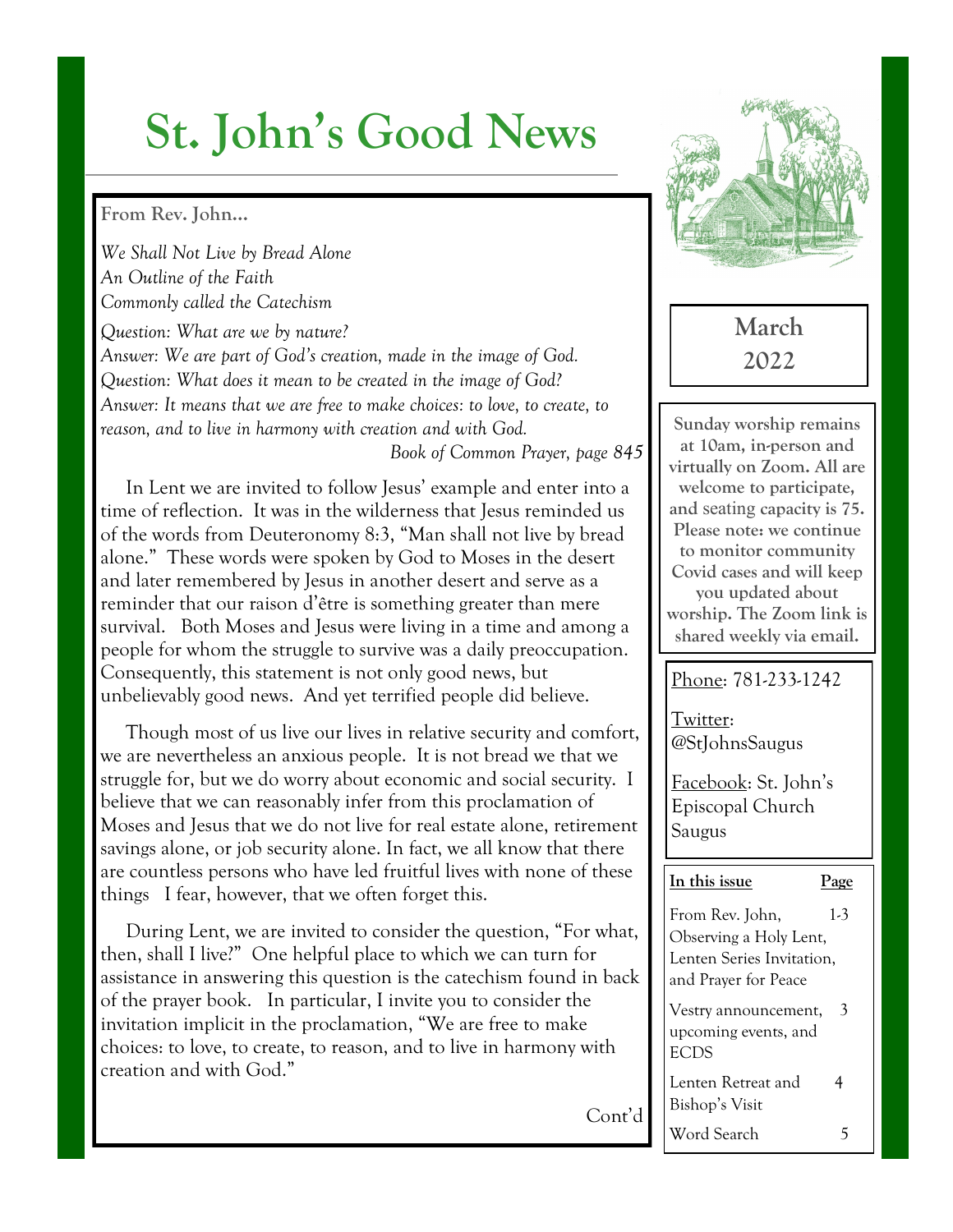# **St. John's Good News**

#### **From Rev. John…**

*We Shall Not Live by Bread Alone An Outline of the Faith Commonly called the Catechism*

*Question: What are we by nature? Answer: We are part of God's creation, made in the image of God. Question: What does it mean to be created in the image of God? Answer: It means that we are free to make choices: to love, to create, to reason, and to live in harmony with creation and with God.*

*Book of Common Prayer, page 845*

In Lent we are invited to follow Jesus' example and enter into a time of reflection. It was in the wilderness that Jesus reminded us of the words from Deuteronomy 8:3, "Man shall not live by bread alone." These words were spoken by God to Moses in the desert and later remembered by Jesus in another desert and serve as a reminder that our raison d'être is something greater than mere survival. Both Moses and Jesus were living in a time and among a people for whom the struggle to survive was a daily preoccupation. Consequently, this statement is not only good news, but unbelievably good news. And yet terrified people did believe.

 Though most of us live our lives in relative security and comfort, we are nevertheless an anxious people. It is not bread we that we struggle for, but we do worry about economic and social security. I believe that we can reasonably infer from this proclamation of Moses and Jesus that we do not live for real estate alone, retirement savings alone, or job security alone. In fact, we all know that there are countless persons who have led fruitful lives with none of these things I fear, however, that we often forget this.

 During Lent, we are invited to consider the question, "For what, then, shall I live?" One helpful place to which we can turn for assistance in answering this question is the catechism found in back of the prayer book. In particular, I invite you to consider the invitation implicit in the proclamation, "We are free to make choices: to love, to create, to reason, and to live in harmony with creation and with God."

Cont'd



**March 2022**

**Sunday worship remains at 10am, in-person and virtually on Zoom. All are welcome to participate, and** seating **capacity is 75. Please note: we continue to monitor community Covid cases and will keep you updated about worship. The Zoom link is shared weekly via email.** 

#### Phone: 781-233-1242

Twitter: @StJohnsSaugus

Facebook: St. John's Episcopal Church Saugus

#### **In this issue Page**

From Rev. John, 1-3 Observing a Holy Lent, Lenten Series Invitation, and Prayer for Peace Vestry announcement, 3 upcoming events, and ECDS Lenten Retreat and 4

Bishop's Visit

Word Search 5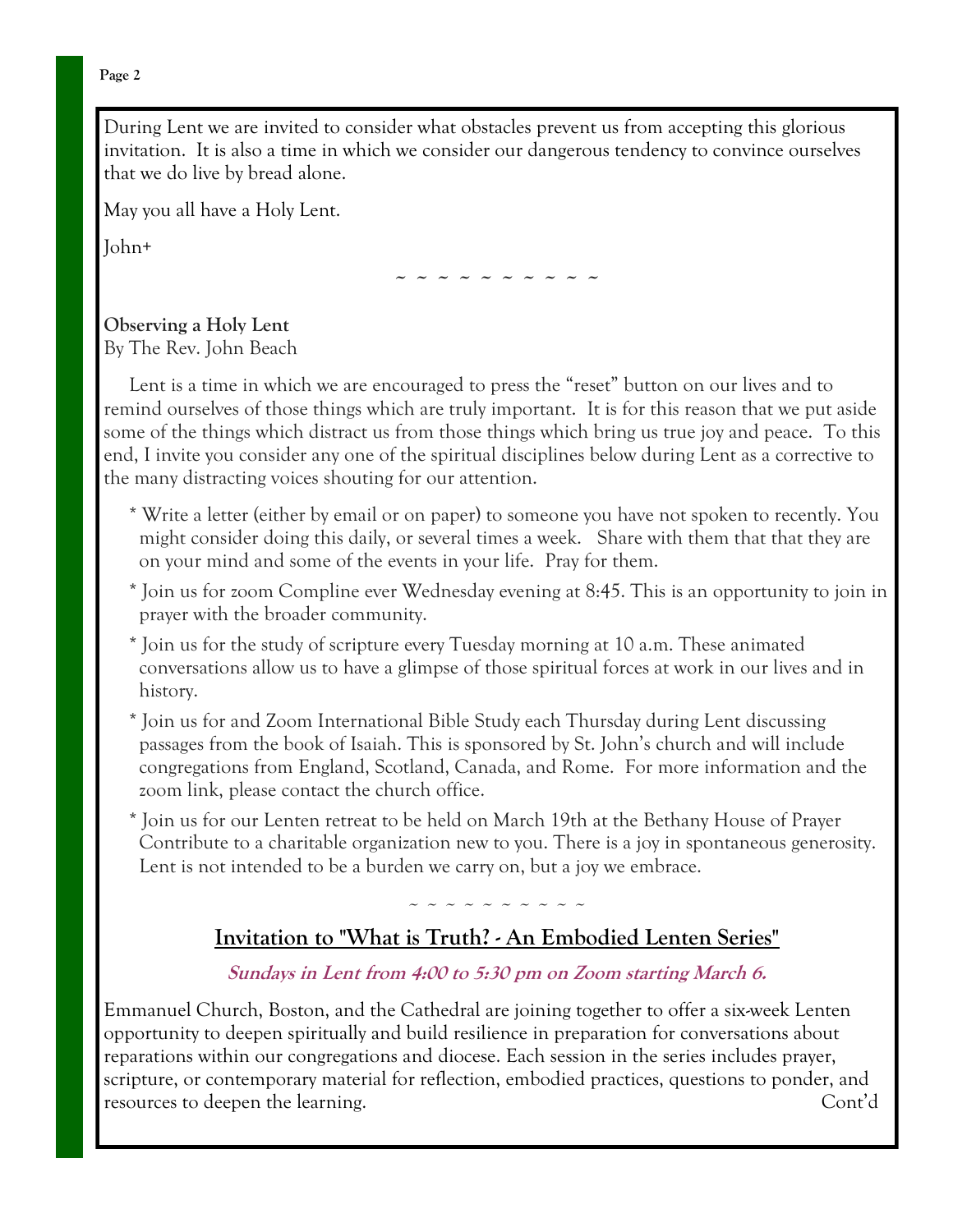**Page 2**

During Lent we are invited to consider what obstacles prevent us from accepting this glorious invitation. It is also a time in which we consider our dangerous tendency to convince ourselves that we do live by bread alone.

May you all have a Holy Lent.

John+

**~ ~ ~ ~ ~ ~ ~ ~ ~ ~**

**Observing a Holy Lent** By The Rev. John Beach

 Lent is a time in which we are encouraged to press the "reset" button on our lives and to remind ourselves of those things which are truly important. It is for this reason that we put aside some of the things which distract us from those things which bring us true joy and peace. To this end, I invite you consider any one of the spiritual disciplines below during Lent as a corrective to the many distracting voices shouting for our attention.

- \* Write a letter (either by email or on paper) to someone you have not spoken to recently. You might consider doing this daily, or several times a week. Share with them that that they are on your mind and some of the events in your life. Pray for them.
- \* Join us for zoom Compline ever Wednesday evening at 8:45. This is an opportunity to join in prayer with the broader community.
- \* Join us for the study of scripture every Tuesday morning at 10 a.m. These animated conversations allow us to have a glimpse of those spiritual forces at work in our lives and in history.
- \* Join us for and Zoom International Bible Study each Thursday during Lent discussing passages from the book of Isaiah. This is sponsored by St. John's church and will include congregations from England, Scotland, Canada, and Rome. For more information and the zoom link, please contact the church office.
- \* Join us for our Lenten retreat to be held on March 19th at the Bethany House of Prayer Contribute to a charitable organization new to you. There is a joy in spontaneous generosity. Lent is not intended to be a burden we carry on, but a joy we embrace.

~ ~ ~ ~ ~ ~ ~ ~ ~ ~

### **Invitation to "What is Truth? - An Embodied Lenten Series"**

#### **Sundays in Lent from 4:00 to 5:30 pm on Zoom starting March 6.**

Emmanuel Church, Boston, and the Cathedral are joining together to offer a six-week Lenten opportunity to deepen spiritually and build resilience in preparation for conversations about reparations within our congregations and diocese. Each session in the series includes prayer, scripture, or contemporary material for reflection, embodied practices, questions to ponder, and resources to deepen the learning. Cont'd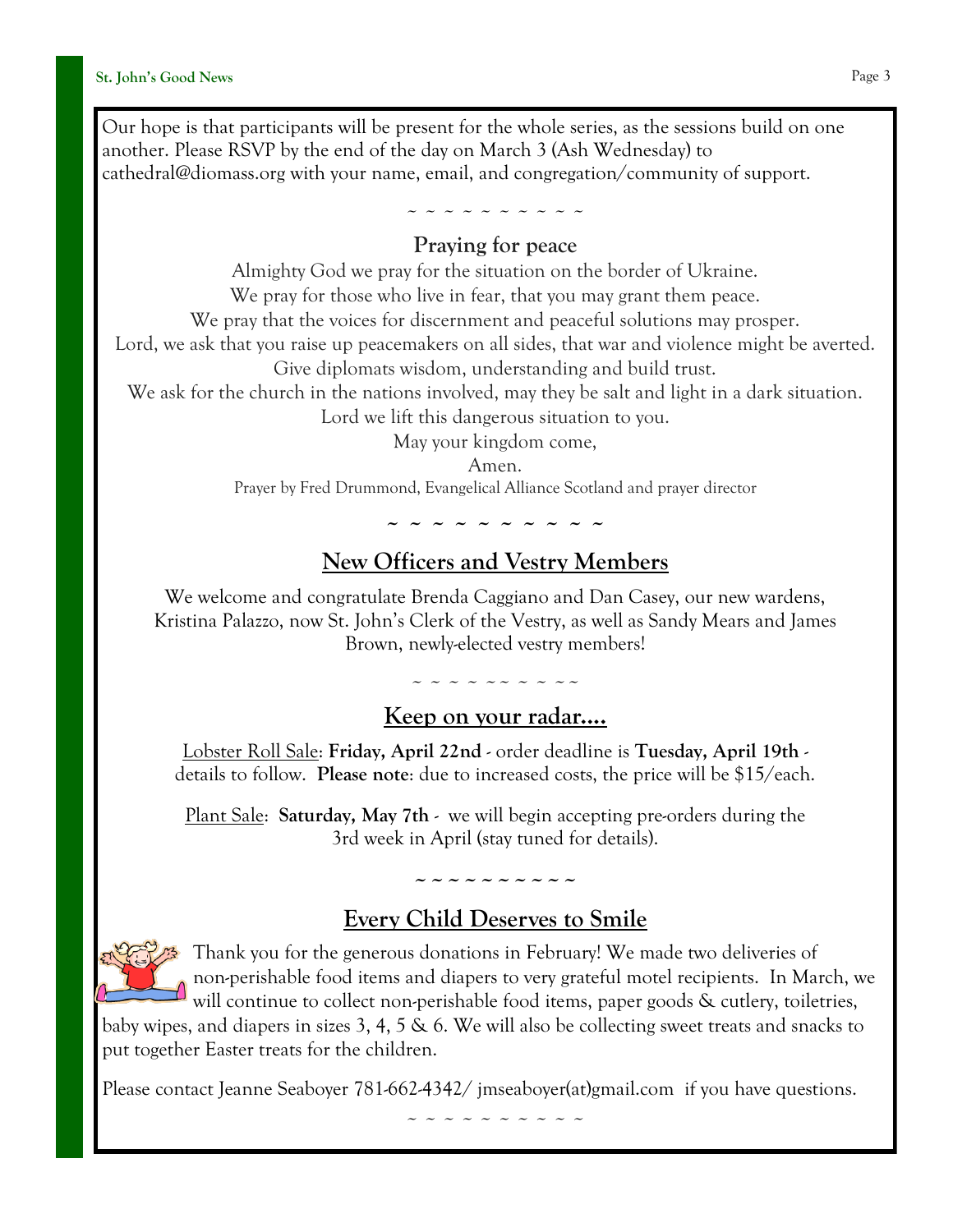Our hope is that participants will be present for the whole series, as the sessions build on one another. Please RSVP by the end of the day on March 3 (Ash Wednesday) to cathedral@diomass.org with your name, email, and congregation/community of support.

#### ~ ~ ~ ~ ~ ~ ~ ~ ~ ~ **Praying for peace**

Almighty God we pray for the situation on the border of Ukraine. We pray for those who live in fear, that you may grant them peace. We pray that the voices for discernment and peaceful solutions may prosper. Lord, we ask that you raise up peacemakers on all sides, that war and violence might be averted. Give diplomats wisdom, understanding and build trust. We ask for the church in the nations involved, may they be salt and light in a dark situation. Lord we lift this dangerous situation to you. May your kingdom come, Amen.

Prayer by Fred Drummond, Evangelical Alliance Scotland and prayer director

**~ ~ ~ ~ ~ ~ ~ ~ ~ ~**

# **New Officers and Vestry Members**

We welcome and congratulate Brenda Caggiano and Dan Casey, our new wardens, Kristina Palazzo, now St. John's Clerk of the Vestry, as well as Sandy Mears and James Brown, newly-elected vestry members!

~ ~ ~ ~ ~~ ~ ~ ~~

## **Keep on your radar....**

Lobster Roll Sale: **Friday, April 22nd** - order deadline is **Tuesday, April 19th** details to follow. **Please note**: due to increased costs, the price will be \$15/each.

Plant Sale: **Saturday, May 7th** - we will begin accepting pre-orders during the 3rd week in April (stay tuned for details).

# **~~~~~~~~~~ Every Child Deserves to Smile**



Thank you for the generous donations in February! We made two deliveries of non-perishable food items and diapers to very grateful motel recipients. In March, we will continue to collect non-perishable food items, paper goods & cutlery, toiletries,

baby wipes, and diapers in sizes 3, 4, 5 & 6. We will also be collecting sweet treats and snacks to put together Easter treats for the children.

Please contact Jeanne Seaboyer [781-662-4342/](tel:781-662-4342) [jmseaboyer\(at\)gmail.com](mailto:jmseaboyer@gmail.com) if you have questions.

~ ~ ~ ~ ~ ~ ~ ~ ~ ~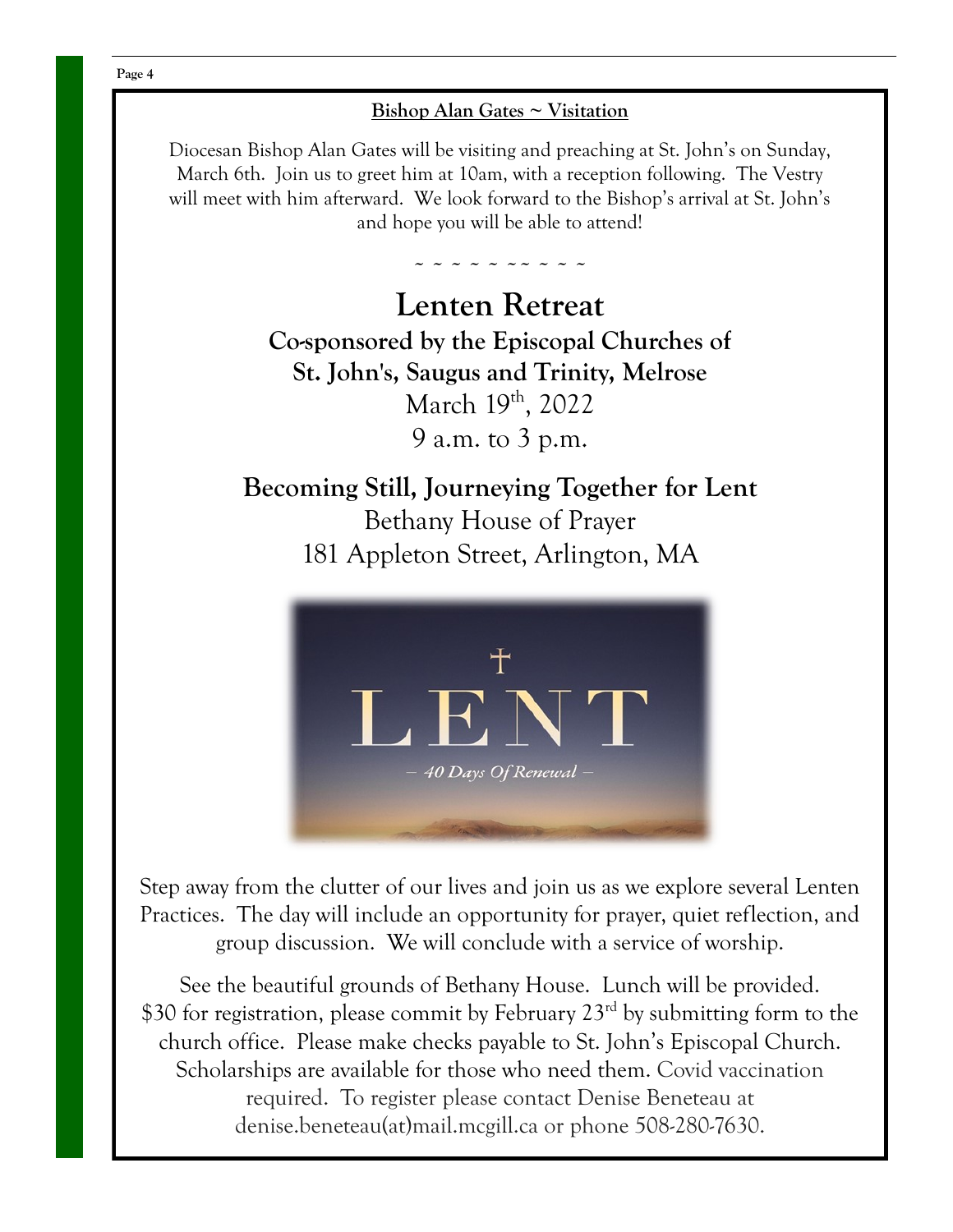#### **Bishop Alan Gates ~ Visitation**

Diocesan Bishop Alan Gates will be visiting and preaching at St. John's on Sunday, March 6th. Join us to greet him at 10am, with a reception following. The Vestry will meet with him afterward. We look forward to the Bishop's arrival at St. John's and hope you will be able to attend!

**~ ~ ~ ~ ~ ~~ ~ ~ ~** 

**Lenten Retreat Co-sponsored by the Episcopal Churches of St. John's, Saugus and Trinity, Melrose** March 19th, 2022 9 a.m. to 3 p.m.

**Becoming Still, Journeying Together for Lent** Bethany House of Prayer 181 Appleton Street, Arlington, MA



Step away from the clutter of our lives and join us as we explore several Lenten Practices. The day will include an opportunity for prayer, quiet reflection, and group discussion. We will conclude with a service of worship.

See the beautiful grounds of Bethany House. Lunch will be provided. \$30 for registration, please commit by February 23<sup>rd</sup> by submitting form to the church office. Please make checks payable to St. John's Episcopal Church. Scholarships are available for those who need them. Covid vaccination required. To register please contact Denise Beneteau at denise.beneteau(at)mail.mcgill.ca or phone 508-280-7630.